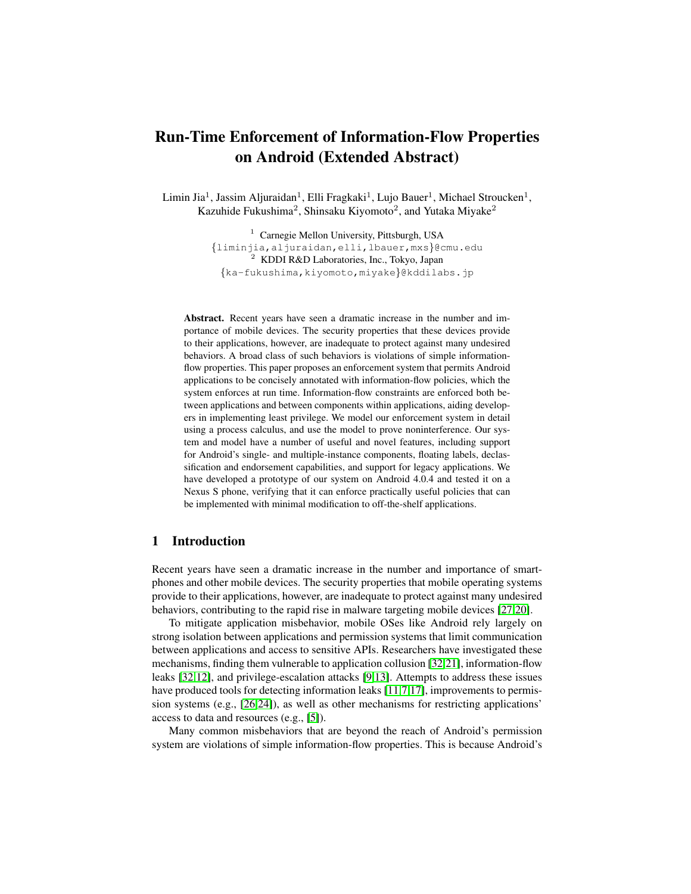# Run-Time Enforcement of Information-Flow Properties on Android (Extended Abstract)

Limin Jia<sup>1</sup>, Jassim Aljuraidan<sup>1</sup>, Elli Fragkaki<sup>1</sup>, Lujo Bauer<sup>1</sup>, Michael Stroucken<sup>1</sup>, Kazuhide Fukushima<sup>2</sup>, Shinsaku Kiyomoto<sup>2</sup>, and Yutaka Miyake<sup>2</sup>

> <sup>1</sup> Carnegie Mellon University, Pittsburgh, USA {liminjia,aljuraidan,elli,lbauer,mxs}@cmu.edu <sup>2</sup> KDDI R&D Laboratories, Inc., Tokyo, Japan {ka-fukushima,kiyomoto,miyake}@kddilabs.jp

Abstract. Recent years have seen a dramatic increase in the number and importance of mobile devices. The security properties that these devices provide to their applications, however, are inadequate to protect against many undesired behaviors. A broad class of such behaviors is violations of simple informationflow properties. This paper proposes an enforcement system that permits Android applications to be concisely annotated with information-flow policies, which the system enforces at run time. Information-flow constraints are enforced both between applications and between components within applications, aiding developers in implementing least privilege. We model our enforcement system in detail using a process calculus, and use the model to prove noninterference. Our system and model have a number of useful and novel features, including support for Android's single- and multiple-instance components, floating labels, declassification and endorsement capabilities, and support for legacy applications. We have developed a prototype of our system on Android 4.0.4 and tested it on a Nexus S phone, verifying that it can enforce practically useful policies that can be implemented with minimal modification to off-the-shelf applications.

## 1 Introduction

Recent years have seen a dramatic increase in the number and importance of smartphones and other mobile devices. The security properties that mobile operating systems provide to their applications, however, are inadequate to protect against many undesired behaviors, contributing to the rapid rise in malware targeting mobile devices [\[27,](#page-17-0)[20\]](#page-17-1).

To mitigate application misbehavior, mobile OSes like Android rely largely on strong isolation between applications and permission systems that limit communication between applications and access to sensitive APIs. Researchers have investigated these mechanisms, finding them vulnerable to application collusion [\[32,](#page-17-2)[21\]](#page-17-3), information-flow leaks [\[32](#page-17-2)[,12\]](#page-16-0), and privilege-escalation attacks [\[9,](#page-16-1)[13\]](#page-16-2). Attempts to address these issues have produced tools for detecting information leaks [\[11,](#page-16-3)[7,](#page-16-4)[17\]](#page-17-4), improvements to permission systems (e.g., [\[26,](#page-17-5)[24\]](#page-17-6)), as well as other mechanisms for restricting applications' access to data and resources (e.g., [\[5\]](#page-16-5)).

Many common misbehaviors that are beyond the reach of Android's permission system are violations of simple information-flow properties. This is because Android's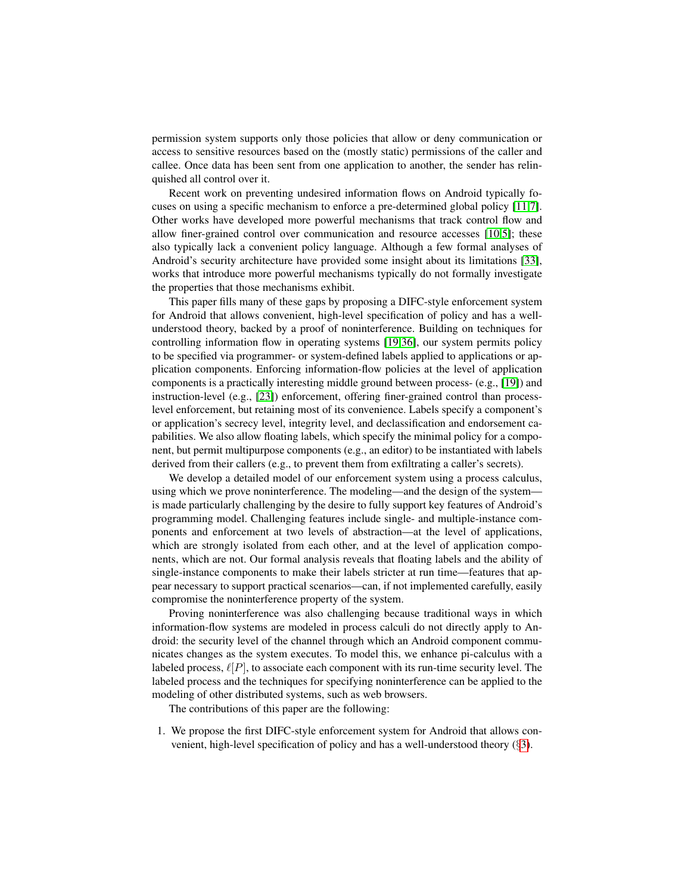permission system supports only those policies that allow or deny communication or access to sensitive resources based on the (mostly static) permissions of the caller and callee. Once data has been sent from one application to another, the sender has relinquished all control over it.

Recent work on preventing undesired information flows on Android typically focuses on using a specific mechanism to enforce a pre-determined global policy [\[11](#page-16-3)[,7\]](#page-16-4). Other works have developed more powerful mechanisms that track control flow and allow finer-grained control over communication and resource accesses [\[10,](#page-16-6)[5\]](#page-16-5); these also typically lack a convenient policy language. Although a few formal analyses of Android's security architecture have provided some insight about its limitations [\[33\]](#page-17-7), works that introduce more powerful mechanisms typically do not formally investigate the properties that those mechanisms exhibit.

This paper fills many of these gaps by proposing a DIFC-style enforcement system for Android that allows convenient, high-level specification of policy and has a wellunderstood theory, backed by a proof of noninterference. Building on techniques for controlling information flow in operating systems [\[19](#page-17-8)[,36\]](#page-17-9), our system permits policy to be specified via programmer- or system-defined labels applied to applications or application components. Enforcing information-flow policies at the level of application components is a practically interesting middle ground between process- (e.g., [\[19\]](#page-17-8)) and instruction-level (e.g., [\[23\]](#page-17-10)) enforcement, offering finer-grained control than processlevel enforcement, but retaining most of its convenience. Labels specify a component's or application's secrecy level, integrity level, and declassification and endorsement capabilities. We also allow floating labels, which specify the minimal policy for a component, but permit multipurpose components (e.g., an editor) to be instantiated with labels derived from their callers (e.g., to prevent them from exfiltrating a caller's secrets).

We develop a detailed model of our enforcement system using a process calculus, using which we prove noninterference. The modeling—and the design of the system is made particularly challenging by the desire to fully support key features of Android's programming model. Challenging features include single- and multiple-instance components and enforcement at two levels of abstraction—at the level of applications, which are strongly isolated from each other, and at the level of application components, which are not. Our formal analysis reveals that floating labels and the ability of single-instance components to make their labels stricter at run time—features that appear necessary to support practical scenarios—can, if not implemented carefully, easily compromise the noninterference property of the system.

Proving noninterference was also challenging because traditional ways in which information-flow systems are modeled in process calculi do not directly apply to Android: the security level of the channel through which an Android component communicates changes as the system executes. To model this, we enhance pi-calculus with a labeled process,  $\ell[P]$ , to associate each component with its run-time security level. The labeled process and the techniques for specifying noninterference can be applied to the modeling of other distributed systems, such as web browsers.

The contributions of this paper are the following:

1. We propose the first DIFC-style enforcement system for Android that allows convenient, high-level specification of policy and has a well-understood theory (§[3\)](#page-4-0).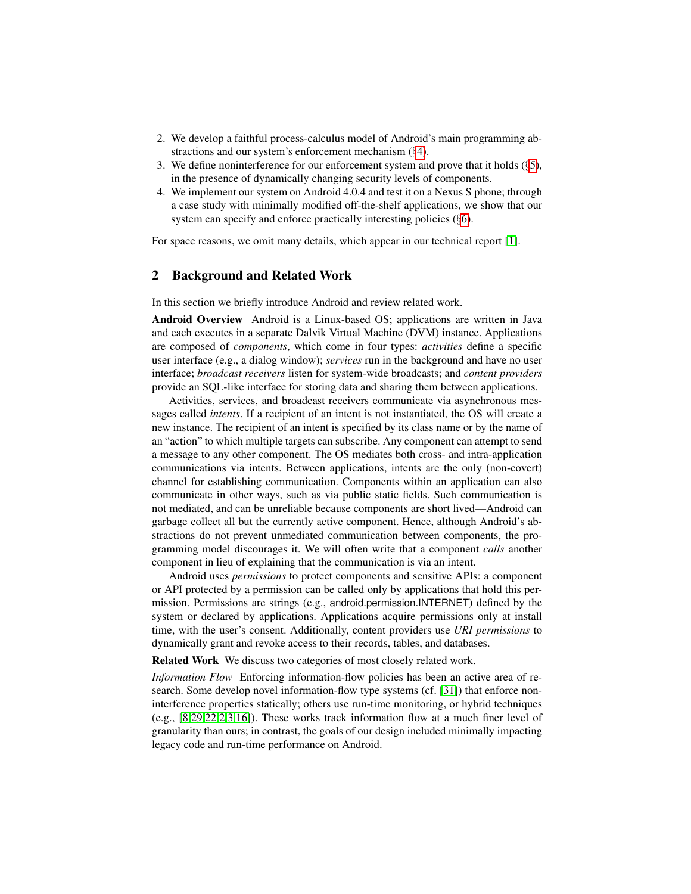- 2. We develop a faithful process-calculus model of Android's main programming abstractions and our system's enforcement mechanism (§[4\)](#page-8-0).
- 3. We define noninterference for our enforcement system and prove that it holds  $(\S 5)$  $(\S 5)$ , in the presence of dynamically changing security levels of components.
- 4. We implement our system on Android 4.0.4 and test it on a Nexus S phone; through a case study with minimally modified off-the-shelf applications, we show that our system can specify and enforce practically interesting policies ( $\S6$ ).

For space reasons, we omit many details, which appear in our technical report [\[1\]](#page-16-7).

# 2 Background and Related Work

In this section we briefly introduce Android and review related work.

Android Overview Android is a Linux-based OS; applications are written in Java and each executes in a separate Dalvik Virtual Machine (DVM) instance. Applications are composed of *components*, which come in four types: *activities* define a specific user interface (e.g., a dialog window); *services* run in the background and have no user interface; *broadcast receivers* listen for system-wide broadcasts; and *content providers* provide an SQL-like interface for storing data and sharing them between applications.

Activities, services, and broadcast receivers communicate via asynchronous messages called *intents*. If a recipient of an intent is not instantiated, the OS will create a new instance. The recipient of an intent is specified by its class name or by the name of an "action" to which multiple targets can subscribe. Any component can attempt to send a message to any other component. The OS mediates both cross- and intra-application communications via intents. Between applications, intents are the only (non-covert) channel for establishing communication. Components within an application can also communicate in other ways, such as via public static fields. Such communication is not mediated, and can be unreliable because components are short lived—Android can garbage collect all but the currently active component. Hence, although Android's abstractions do not prevent unmediated communication between components, the programming model discourages it. We will often write that a component *calls* another component in lieu of explaining that the communication is via an intent.

Android uses *permissions* to protect components and sensitive APIs: a component or API protected by a permission can be called only by applications that hold this permission. Permissions are strings (e.g., android.permission.INTERNET) defined by the system or declared by applications. Applications acquire permissions only at install time, with the user's consent. Additionally, content providers use *URI permissions* to dynamically grant and revoke access to their records, tables, and databases.

Related Work We discuss two categories of most closely related work.

*Information Flow* Enforcing information-flow policies has been an active area of research. Some develop novel information-flow type systems (cf. [\[31\]](#page-17-11)) that enforce noninterference properties statically; others use run-time monitoring, or hybrid techniques (e.g., [\[8](#page-16-8)[,29](#page-17-12)[,22](#page-17-13)[,2](#page-16-9)[,3](#page-16-10)[,16\]](#page-17-14)). These works track information flow at a much finer level of granularity than ours; in contrast, the goals of our design included minimally impacting legacy code and run-time performance on Android.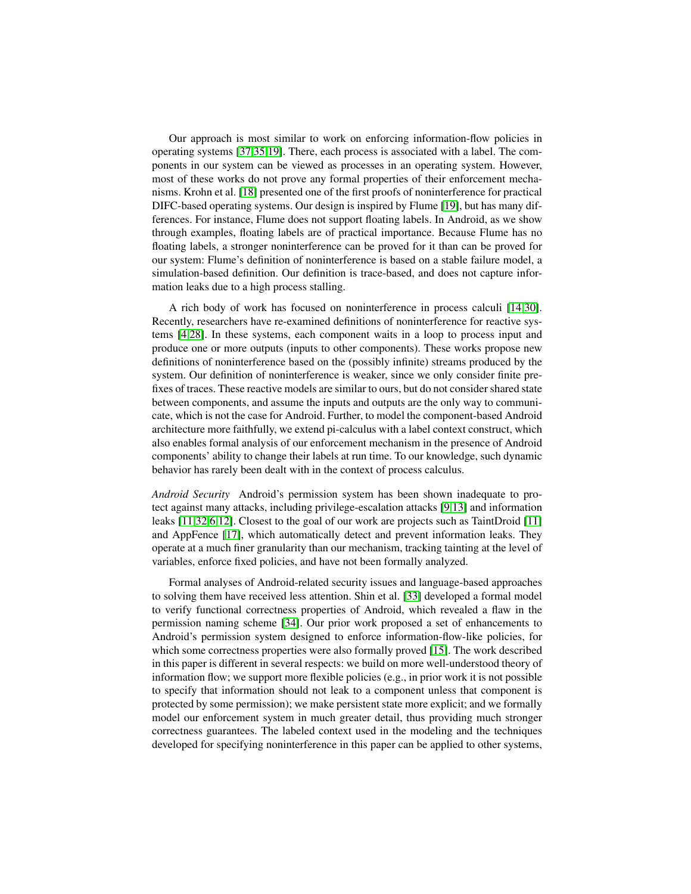Our approach is most similar to work on enforcing information-flow policies in operating systems [\[37](#page-17-15)[,35](#page-17-16)[,19\]](#page-17-8). There, each process is associated with a label. The components in our system can be viewed as processes in an operating system. However, most of these works do not prove any formal properties of their enforcement mechanisms. Krohn et al. [\[18\]](#page-17-17) presented one of the first proofs of noninterference for practical DIFC-based operating systems. Our design is inspired by Flume [\[19\]](#page-17-8), but has many differences. For instance, Flume does not support floating labels. In Android, as we show through examples, floating labels are of practical importance. Because Flume has no floating labels, a stronger noninterference can be proved for it than can be proved for our system: Flume's definition of noninterference is based on a stable failure model, a simulation-based definition. Our definition is trace-based, and does not capture information leaks due to a high process stalling.

A rich body of work has focused on noninterference in process calculi [\[14](#page-16-11)[,30\]](#page-17-18). Recently, researchers have re-examined definitions of noninterference for reactive systems [\[4,](#page-16-12)[28\]](#page-17-19). In these systems, each component waits in a loop to process input and produce one or more outputs (inputs to other components). These works propose new definitions of noninterference based on the (possibly infinite) streams produced by the system. Our definition of noninterference is weaker, since we only consider finite prefixes of traces. These reactive models are similar to ours, but do not consider shared state between components, and assume the inputs and outputs are the only way to communicate, which is not the case for Android. Further, to model the component-based Android architecture more faithfully, we extend pi-calculus with a label context construct, which also enables formal analysis of our enforcement mechanism in the presence of Android components' ability to change their labels at run time. To our knowledge, such dynamic behavior has rarely been dealt with in the context of process calculus.

*Android Security* Android's permission system has been shown inadequate to protect against many attacks, including privilege-escalation attacks [\[9](#page-16-1)[,13\]](#page-16-2) and information leaks [\[11,](#page-16-3)[32](#page-17-2)[,6](#page-16-13)[,12\]](#page-16-0). Closest to the goal of our work are projects such as TaintDroid [\[11\]](#page-16-3) and AppFence [\[17\]](#page-17-4), which automatically detect and prevent information leaks. They operate at a much finer granularity than our mechanism, tracking tainting at the level of variables, enforce fixed policies, and have not been formally analyzed.

Formal analyses of Android-related security issues and language-based approaches to solving them have received less attention. Shin et al. [\[33\]](#page-17-7) developed a formal model to verify functional correctness properties of Android, which revealed a flaw in the permission naming scheme [\[34\]](#page-17-20). Our prior work proposed a set of enhancements to Android's permission system designed to enforce information-flow-like policies, for which some correctness properties were also formally proved [\[15\]](#page-17-21). The work described in this paper is different in several respects: we build on more well-understood theory of information flow; we support more flexible policies (e.g., in prior work it is not possible to specify that information should not leak to a component unless that component is protected by some permission); we make persistent state more explicit; and we formally model our enforcement system in much greater detail, thus providing much stronger correctness guarantees. The labeled context used in the modeling and the techniques developed for specifying noninterference in this paper can be applied to other systems,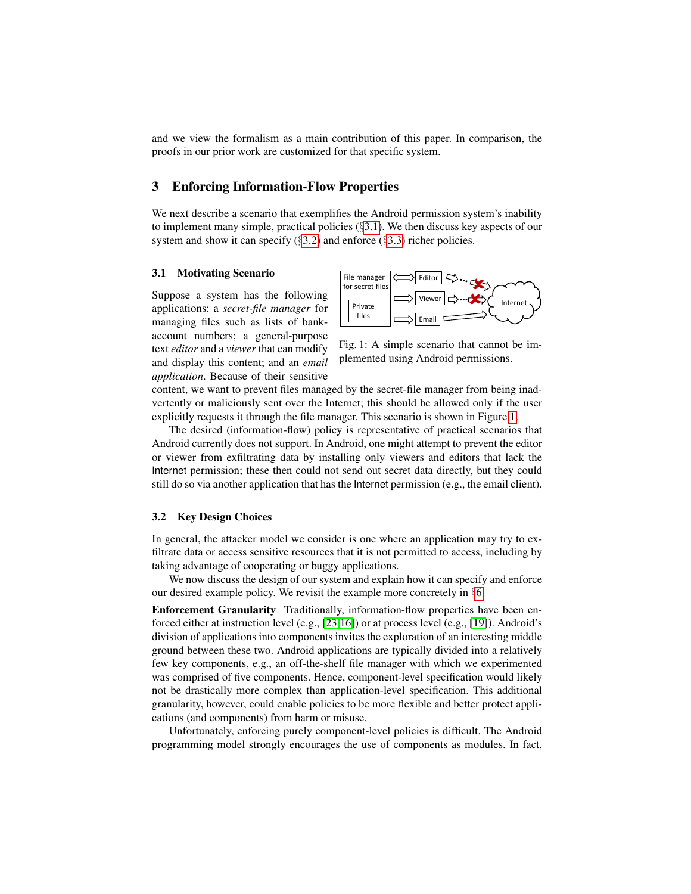and we view the formalism as a main contribution of this paper. In comparison, the proofs in our prior work are customized for that specific system.

# <span id="page-4-0"></span>3 Enforcing Information-Flow Properties

We next describe a scenario that exemplifies the Android permission system's inability to implement many simple, practical policies  $(\S 3.1)$  $(\S 3.1)$ . We then discuss key aspects of our system and show it can specify  $(\S3.2)$  $(\S3.2)$  and enforce  $(\S3.3)$  $(\S3.3)$  richer policies.

#### <span id="page-4-1"></span>3.1 Motivating Scenario

Suppose a system has the following applications: a *secret-file manager* for managing files such as lists of bankaccount numbers; a general-purpose text *editor* and a *viewer* that can modify and display this content; and an *email application*. Because of their sensitive



<span id="page-4-3"></span>Fig. 1: A simple scenario that cannot be implemented using Android permissions.

content, we want to prevent files managed by the secret-file manager from being inadvertently or maliciously sent over the Internet; this should be allowed only if the user explicitly requests it through the file manager. This scenario is shown in Figure [1.](#page-4-3)

The desired (information-flow) policy is representative of practical scenarios that Android currently does not support. In Android, one might attempt to prevent the editor or viewer from exfiltrating data by installing only viewers and editors that lack the Internet permission; these then could not send out secret data directly, but they could still do so via another application that has the Internet permission (e.g., the email client).

#### <span id="page-4-2"></span>3.2 Key Design Choices

In general, the attacker model we consider is one where an application may try to exfiltrate data or access sensitive resources that it is not permitted to access, including by taking advantage of cooperating or buggy applications.

We now discuss the design of our system and explain how it can specify and enforce our desired example policy. We revisit the example more concretely in §[6.](#page-14-0)

Enforcement Granularity Traditionally, information-flow properties have been enforced either at instruction level (e.g., [\[23](#page-17-10)[,16\]](#page-17-14)) or at process level (e.g., [\[19\]](#page-17-8)). Android's division of applications into components invites the exploration of an interesting middle ground between these two. Android applications are typically divided into a relatively few key components, e.g., an off-the-shelf file manager with which we experimented was comprised of five components. Hence, component-level specification would likely not be drastically more complex than application-level specification. This additional granularity, however, could enable policies to be more flexible and better protect applications (and components) from harm or misuse.

Unfortunately, enforcing purely component-level policies is difficult. The Android programming model strongly encourages the use of components as modules. In fact,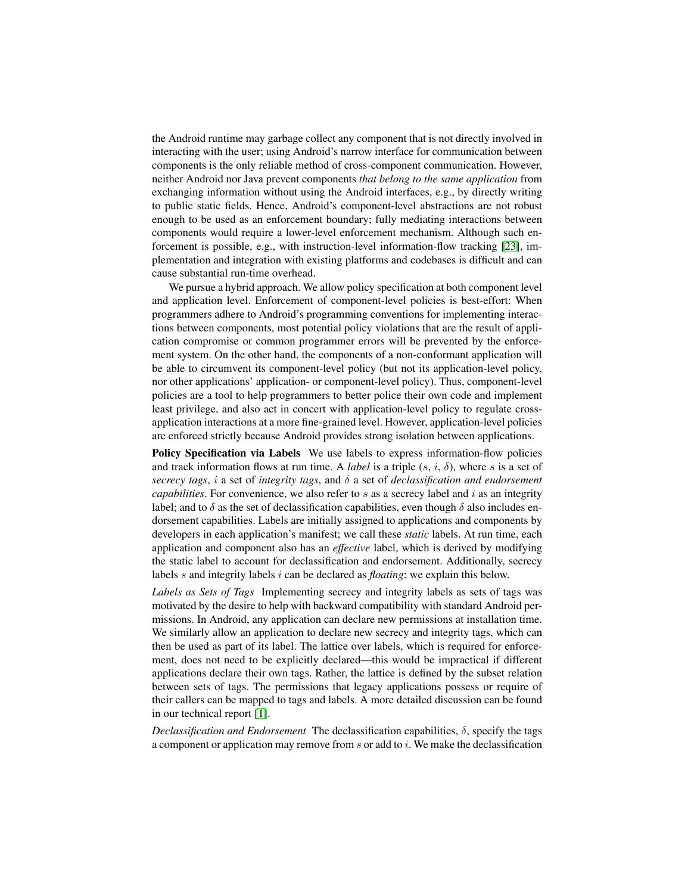the Android runtime may garbage collect any component that is not directly involved in interacting with the user; using Android's narrow interface for communication between components is the only reliable method of cross-component communication. However, neither Android nor Java prevent components *that belong to the same application* from exchanging information without using the Android interfaces, e.g., by directly writing to public static fields. Hence, Android's component-level abstractions are not robust enough to be used as an enforcement boundary; fully mediating interactions between components would require a lower-level enforcement mechanism. Although such enforcement is possible, e.g., with instruction-level information-flow tracking [\[23\]](#page-17-10), implementation and integration with existing platforms and codebases is difficult and can cause substantial run-time overhead.

We pursue a hybrid approach. We allow policy specification at both component level and application level. Enforcement of component-level policies is best-effort: When programmers adhere to Android's programming conventions for implementing interactions between components, most potential policy violations that are the result of application compromise or common programmer errors will be prevented by the enforcement system. On the other hand, the components of a non-conformant application will be able to circumvent its component-level policy (but not its application-level policy, nor other applications' application- or component-level policy). Thus, component-level policies are a tool to help programmers to better police their own code and implement least privilege, and also act in concert with application-level policy to regulate crossapplication interactions at a more fine-grained level. However, application-level policies are enforced strictly because Android provides strong isolation between applications.

Policy Specification via Labels We use labels to express information-flow policies and track information flows at run time. A *label* is a triple  $(s, i, \delta)$ , where s is a set of *secrecy tags*, i a set of *integrity tags*, and δ a set of *declassification and endorsement capabilities*. For convenience, we also refer to  $s$  as a secrecy label and  $i$  as an integrity label; and to  $\delta$  as the set of declassification capabilities, even though  $\delta$  also includes endorsement capabilities. Labels are initially assigned to applications and components by developers in each application's manifest; we call these *static* labels. At run time, each application and component also has an *effective* label, which is derived by modifying the static label to account for declassification and endorsement. Additionally, secrecy labels s and integrity labels i can be declared as *floating*; we explain this below.

*Labels as Sets of Tags* Implementing secrecy and integrity labels as sets of tags was motivated by the desire to help with backward compatibility with standard Android permissions. In Android, any application can declare new permissions at installation time. We similarly allow an application to declare new secrecy and integrity tags, which can then be used as part of its label. The lattice over labels, which is required for enforcement, does not need to be explicitly declared—this would be impractical if different applications declare their own tags. Rather, the lattice is defined by the subset relation between sets of tags. The permissions that legacy applications possess or require of their callers can be mapped to tags and labels. A more detailed discussion can be found in our technical report [\[1\]](#page-16-7).

*Declassification and Endorsement* The declassification capabilities, δ, specify the tags a component or application may remove from  $s$  or add to  $i$ . We make the declassification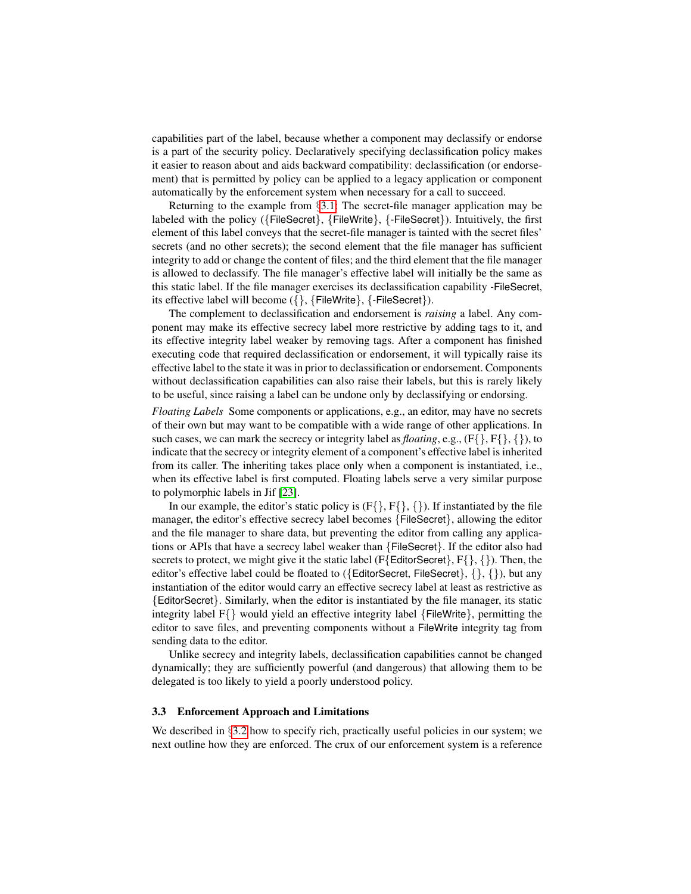capabilities part of the label, because whether a component may declassify or endorse is a part of the security policy. Declaratively specifying declassification policy makes it easier to reason about and aids backward compatibility: declassification (or endorsement) that is permitted by policy can be applied to a legacy application or component automatically by the enforcement system when necessary for a call to succeed.

Returning to the example from §[3.1:](#page-4-1) The secret-file manager application may be labeled with the policy ({FileSecret}, {FileWrite}, {-FileSecret}). Intuitively, the first element of this label conveys that the secret-file manager is tainted with the secret files' secrets (and no other secrets); the second element that the file manager has sufficient integrity to add or change the content of files; and the third element that the file manager is allowed to declassify. The file manager's effective label will initially be the same as this static label. If the file manager exercises its declassification capability -FileSecret, its effective label will become ({}, {FileWrite}, {-FileSecret}).

The complement to declassification and endorsement is *raising* a label. Any component may make its effective secrecy label more restrictive by adding tags to it, and its effective integrity label weaker by removing tags. After a component has finished executing code that required declassification or endorsement, it will typically raise its effective label to the state it was in prior to declassification or endorsement. Components without declassification capabilities can also raise their labels, but this is rarely likely to be useful, since raising a label can be undone only by declassifying or endorsing.

*Floating Labels* Some components or applications, e.g., an editor, may have no secrets of their own but may want to be compatible with a wide range of other applications. In such cases, we can mark the secrecy or integrity label as *floating*, e.g.,  $(F\{\}, F\{\}, \{\})$ , to indicate that the secrecy or integrity element of a component's effective label is inherited from its caller. The inheriting takes place only when a component is instantiated, i.e., when its effective label is first computed. Floating labels serve a very similar purpose to polymorphic labels in Jif [\[23\]](#page-17-10).

In our example, the editor's static policy is  $(F\{\}, F\{\}, \{\})$ . If instantiated by the file manager, the editor's effective secrecy label becomes {FileSecret}, allowing the editor and the file manager to share data, but preventing the editor from calling any applications or APIs that have a secrecy label weaker than {FileSecret}. If the editor also had secrets to protect, we might give it the static label (F{EditorSecret}, F{}, {}). Then, the editor's effective label could be floated to ( $\{EditorSecret, FileSecret\}, \{\}, \{\}, \{\})$ , but any instantiation of the editor would carry an effective secrecy label at least as restrictive as {EditorSecret}. Similarly, when the editor is instantiated by the file manager, its static integrity label F{} would yield an effective integrity label {FileWrite}, permitting the editor to save files, and preventing components without a FileWrite integrity tag from sending data to the editor.

Unlike secrecy and integrity labels, declassification capabilities cannot be changed dynamically; they are sufficiently powerful (and dangerous) that allowing them to be delegated is too likely to yield a poorly understood policy.

#### <span id="page-6-0"></span>3.3 Enforcement Approach and Limitations

We described in §[3.2](#page-4-2) how to specify rich, practically useful policies in our system; we next outline how they are enforced. The crux of our enforcement system is a reference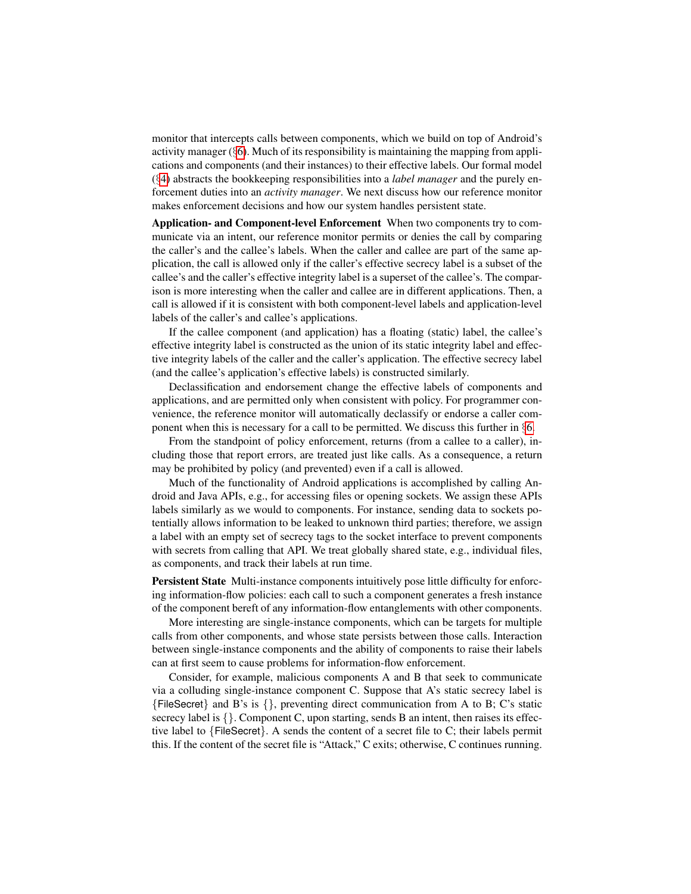monitor that intercepts calls between components, which we build on top of Android's activity manager  $(\S6)$  $(\S6)$ . Much of its responsibility is maintaining the mapping from applications and components (and their instances) to their effective labels. Our formal model (§[4\)](#page-8-0) abstracts the bookkeeping responsibilities into a *label manager* and the purely enforcement duties into an *activity manager*. We next discuss how our reference monitor makes enforcement decisions and how our system handles persistent state.

Application- and Component-level Enforcement When two components try to communicate via an intent, our reference monitor permits or denies the call by comparing the caller's and the callee's labels. When the caller and callee are part of the same application, the call is allowed only if the caller's effective secrecy label is a subset of the callee's and the caller's effective integrity label is a superset of the callee's. The comparison is more interesting when the caller and callee are in different applications. Then, a call is allowed if it is consistent with both component-level labels and application-level labels of the caller's and callee's applications.

If the callee component (and application) has a floating (static) label, the callee's effective integrity label is constructed as the union of its static integrity label and effective integrity labels of the caller and the caller's application. The effective secrecy label (and the callee's application's effective labels) is constructed similarly.

Declassification and endorsement change the effective labels of components and applications, and are permitted only when consistent with policy. For programmer convenience, the reference monitor will automatically declassify or endorse a caller component when this is necessary for a call to be permitted. We discuss this further in §[6.](#page-14-0)

From the standpoint of policy enforcement, returns (from a callee to a caller), including those that report errors, are treated just like calls. As a consequence, a return may be prohibited by policy (and prevented) even if a call is allowed.

Much of the functionality of Android applications is accomplished by calling Android and Java APIs, e.g., for accessing files or opening sockets. We assign these APIs labels similarly as we would to components. For instance, sending data to sockets potentially allows information to be leaked to unknown third parties; therefore, we assign a label with an empty set of secrecy tags to the socket interface to prevent components with secrets from calling that API. We treat globally shared state, e.g., individual files, as components, and track their labels at run time.

Persistent State Multi-instance components intuitively pose little difficulty for enforcing information-flow policies: each call to such a component generates a fresh instance of the component bereft of any information-flow entanglements with other components.

More interesting are single-instance components, which can be targets for multiple calls from other components, and whose state persists between those calls. Interaction between single-instance components and the ability of components to raise their labels can at first seem to cause problems for information-flow enforcement.

Consider, for example, malicious components A and B that seek to communicate via a colluding single-instance component C. Suppose that A's static secrecy label is  ${FileSecret}$  and B's is  $\}$ , preventing direct communication from A to B; C's static secrecy label is  $\{\}$ . Component C, upon starting, sends B an intent, then raises its effective label to {FileSecret}. A sends the content of a secret file to C; their labels permit this. If the content of the secret file is "Attack," C exits; otherwise, C continues running.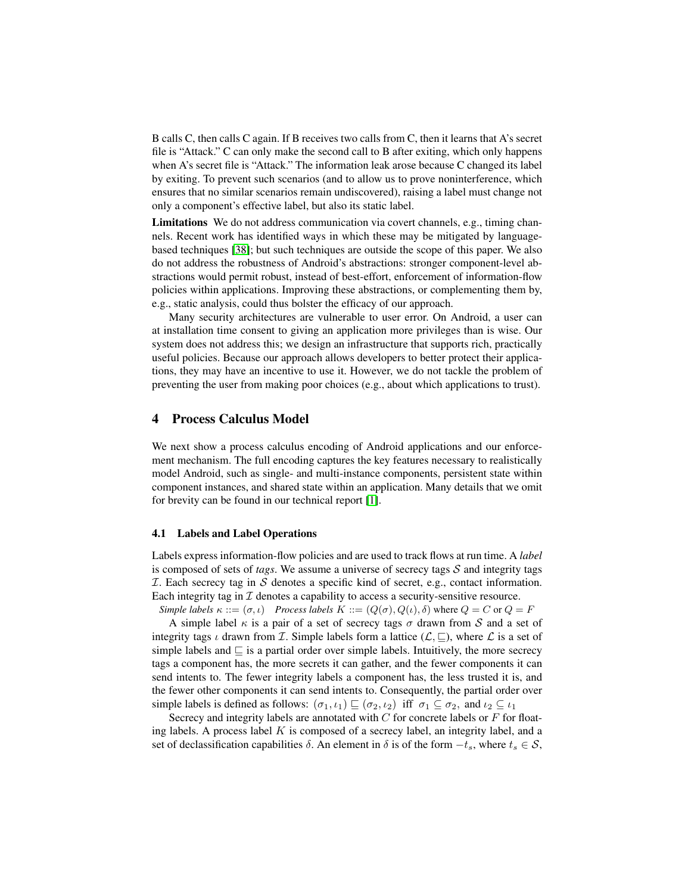B calls C, then calls C again. If B receives two calls from C, then it learns that A's secret file is "Attack." C can only make the second call to B after exiting, which only happens when A's secret file is "Attack." The information leak arose because C changed its label by exiting. To prevent such scenarios (and to allow us to prove noninterference, which ensures that no similar scenarios remain undiscovered), raising a label must change not only a component's effective label, but also its static label.

Limitations We do not address communication via covert channels, e.g., timing channels. Recent work has identified ways in which these may be mitigated by languagebased techniques [\[38\]](#page-17-22); but such techniques are outside the scope of this paper. We also do not address the robustness of Android's abstractions: stronger component-level abstractions would permit robust, instead of best-effort, enforcement of information-flow policies within applications. Improving these abstractions, or complementing them by, e.g., static analysis, could thus bolster the efficacy of our approach.

Many security architectures are vulnerable to user error. On Android, a user can at installation time consent to giving an application more privileges than is wise. Our system does not address this; we design an infrastructure that supports rich, practically useful policies. Because our approach allows developers to better protect their applications, they may have an incentive to use it. However, we do not tackle the problem of preventing the user from making poor choices (e.g., about which applications to trust).

# <span id="page-8-0"></span>4 Process Calculus Model

We next show a process calculus encoding of Android applications and our enforcement mechanism. The full encoding captures the key features necessary to realistically model Android, such as single- and multi-instance components, persistent state within component instances, and shared state within an application. Many details that we omit for brevity can be found in our technical report [\[1\]](#page-16-7).

#### 4.1 Labels and Label Operations

Labels express information-flow policies and are used to track flows at run time. A *label* is composed of sets of *tags*. We assume a universe of secrecy tags  $S$  and integrity tags  $I.$  Each secrecy tag in  $S$  denotes a specific kind of secret, e.g., contact information. Each integrity tag in  $I$  denotes a capability to access a security-sensitive resource. *Simple labels*  $\kappa ::= (\sigma, \iota)$  *Process labels*  $K ::= (Q(\sigma), Q(\iota), \delta)$  where  $Q = C$  or  $Q = F$ 

A simple label  $\kappa$  is a pair of a set of secrecy tags  $\sigma$  drawn from S and a set of integrity tags  $\iota$  drawn from *I*. Simple labels form a lattice  $(L, \sqsubseteq)$ , where L is a set of simple labels and  $\sqsubseteq$  is a partial order over simple labels. Intuitively, the more secrecy tags a component has, the more secrets it can gather, and the fewer components it can send intents to. The fewer integrity labels a component has, the less trusted it is, and the fewer other components it can send intents to. Consequently, the partial order over simple labels is defined as follows:  $(\sigma_1, \iota_1) \sqsubseteq (\sigma_2, \iota_2)$  iff  $\sigma_1 \subseteq \sigma_2$ , and  $\iota_2 \subseteq \iota_1$ 

Secrecy and integrity labels are annotated with  $C$  for concrete labels or  $F$  for floating labels. A process label  $K$  is composed of a secrecy label, an integrity label, and a set of declassification capabilities  $\delta$ . An element in  $\delta$  is of the form  $-t_s$ , where  $t_s \in \mathcal{S}$ ,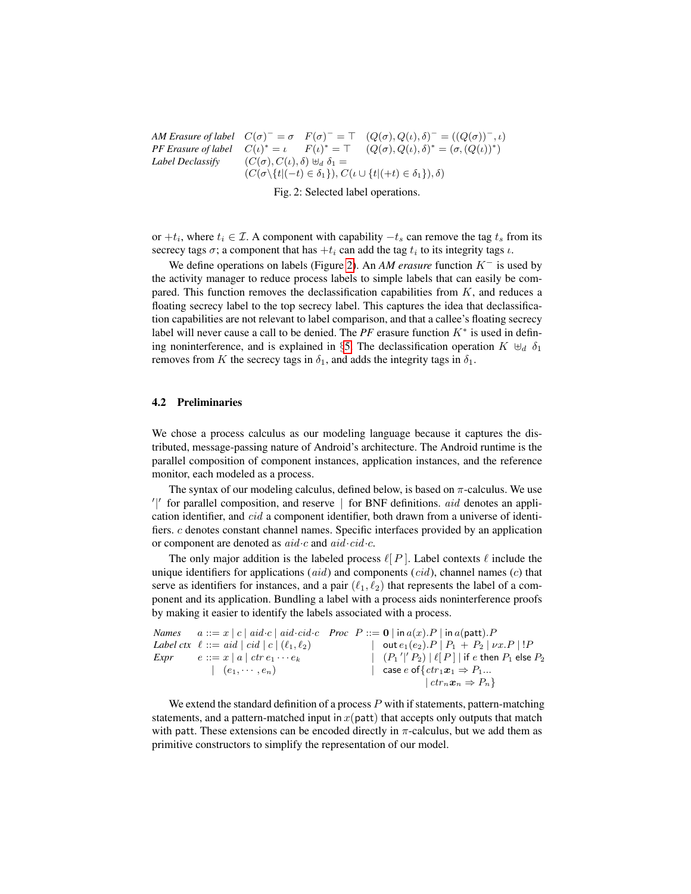<span id="page-9-0"></span>*AM Erasure of label*  $C(\sigma)^{-} = \sigma$   $F(\sigma)^{-} = \top$   $(Q(\sigma), Q(\iota), \delta)^{-} = ((Q(\sigma))^{-}, \iota)$ *PF Erasure of label*  $C(\iota)^* = \iota$   $F(\iota)$ \* =  $\top$   $(Q(\sigma), Q(\iota), \delta)^* = (\sigma, (Q(\iota))^*)$ *Label Declassify*  $(C(\sigma), C(\iota), \delta) \biguplus_d \delta_1 =$  $(C(\sigma \setminus \{t|(-t) \in \delta_1\}), C(\iota \cup \{t|(+t) \in \delta_1\}), \delta)$ 

Fig. 2: Selected label operations.

or  $+t_i$ , where  $t_i \in \mathcal{I}$ . A component with capability  $-t_s$  can remove the tag  $t_s$  from its secrecy tags  $\sigma$ ; a component that has  $+t_i$  can add the tag  $t_i$  to its integrity tags  $\iota$ .

We define operations on labels (Figure [2\)](#page-9-0). An *AM erasure* function K<sup>−</sup> is used by the activity manager to reduce process labels to simple labels that can easily be compared. This function removes the declassification capabilities from  $K$ , and reduces a floating secrecy label to the top secrecy label. This captures the idea that declassification capabilities are not relevant to label comparison, and that a callee's floating secrecy label will never cause a call to be denied. The  $PF$  erasure function  $K^*$  is used in defin-ing noninterference, and is explained in §[5.](#page-12-0) The declassification operation  $K \uplus_d \delta_1$ removes from K the secrecy tags in  $\delta_1$ , and adds the integrity tags in  $\delta_1$ .

#### 4.2 Preliminaries

We chose a process calculus as our modeling language because it captures the distributed, message-passing nature of Android's architecture. The Android runtime is the parallel composition of component instances, application instances, and the reference monitor, each modeled as a process.

The syntax of our modeling calculus, defined below, is based on  $\pi$ -calculus. We use  $^{\prime}$  for parallel composition, and reserve | for BNF definitions. aid denotes an application identifier, and cid a component identifier, both drawn from a universe of identifiers. c denotes constant channel names. Specific interfaces provided by an application or component are denoted as  $aid \cdot c$  and  $aid \cdot cid \cdot c$ .

The only major addition is the labeled process  $\ell[P]$ . Label contexts  $\ell$  include the unique identifiers for applications  $(\text{aid})$  and components  $(\text{cid})$ , channel names  $(c)$  that serve as identifiers for instances, and a pair  $(\ell_1, \ell_2)$  that represents the label of a component and its application. Bundling a label with a process aids noninterference proofs by making it easier to identify the labels associated with a process.

```
Names a ::= x | c | aid \cdot c | aid \cdot c id \cdot c Proc P ::= 0 | in a(x).P | in a(patt).PLabel ctx \ell ::= \text{aid} | \text{cid} | c | (\ell_1, \ell_2) | out e_1(e_2) \cdot P | P_1 + P_2 | \nu x \cdot P | !P\begin{array}{lll} \textit{Expr} & \quad e ::= x \mid a \mid \textit{ctr} \, e_1 \cdots e_k \ & \mid & \quad (e_1, \cdots, e_n) \end{array}\mathcal{O}^{\prime}|^{'}P_2) \mid \ell[\,P\,] \mid if e then P_1 else P_2\begin{array}{|c|c|c|c|c|}\hline (e_1, \cdots ,e_n) & \quad \text{case $e$ of} \{ctr_1 \boldsymbol{x}_1 \Rightarrow P_1... \} \hline \end{array}| \operatorname{ctr}_n x_n \Rightarrow P_n \}
```
We extend the standard definition of a process  $P$  with if statements, pattern-matching statements, and a pattern-matched input in  $x$ (patt) that accepts only outputs that match with patt. These extensions can be encoded directly in  $\pi$ -calculus, but we add them as primitive constructors to simplify the representation of our model.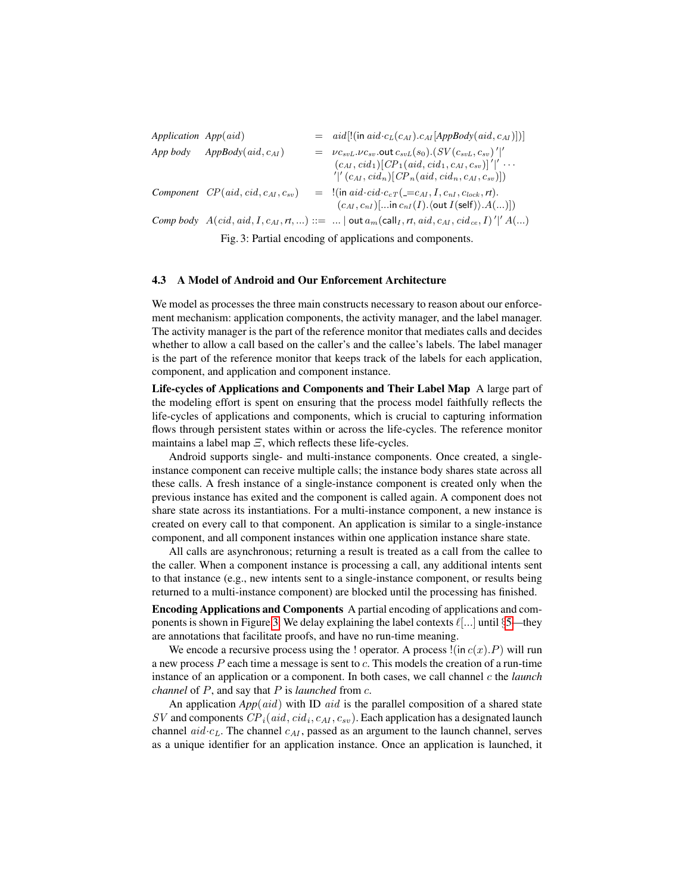<span id="page-10-0"></span>

| Application $App(\text{aid})$ |                                          | $= \text{aid}$ [!(in aid· $c_L(c_{AI})$ . $c_{AI}$ [AppBody(aid, $c_{AI}$ ])]]                                                                                                                                                       |
|-------------------------------|------------------------------------------|--------------------------------------------------------------------------------------------------------------------------------------------------------------------------------------------------------------------------------------|
|                               | App body $AppBody(aid, c_{AI})$          | $= \nu c_{svL} \nu c_{sv}$ .out $c_{svL}(s_0)$ . $(SV(c_{svL}, c_{sv})')'$<br>$(c_{AI}, cid_1)[CP_1 (aid, cid_1, c_{AI}, c_{sv})]'$ ' $\cdots$<br>$'\!\!\mid'\!\!(c_{AI},cid_n)[CP_n(\textit{aid},\textit{cid}_n, c_{AI}, c_{sv})])$ |
|                               | Component $CP(aid, cid, c_{AI}, c_{sv})$ | $=$ $!($ in aid $\cdot$ cid $\cdot$ c <sub>cT</sub> $($ =c <sub>AI</sub> , I, c <sub>nI</sub> , c <sub>lock</sub> , rt).<br>$(c_{AI}, c_{nI})$ [in $c_{nI}(I)$ . (out $I(\text{self})\rangle$ . $A()$ ])                             |
|                               |                                          | Comp body $A(cid, aid, I, c_{AI}, rt, ) ::=    out am(callI, rt, aid, cAI, cide, I)'  ' A()$                                                                                                                                         |

Fig. 3: Partial encoding of applications and components.

#### 4.3 A Model of Android and Our Enforcement Architecture

We model as processes the three main constructs necessary to reason about our enforcement mechanism: application components, the activity manager, and the label manager. The activity manager is the part of the reference monitor that mediates calls and decides whether to allow a call based on the caller's and the callee's labels. The label manager is the part of the reference monitor that keeps track of the labels for each application, component, and application and component instance.

Life-cycles of Applications and Components and Their Label Map A large part of the modeling effort is spent on ensuring that the process model faithfully reflects the life-cycles of applications and components, which is crucial to capturing information flows through persistent states within or across the life-cycles. The reference monitor maintains a label map  $\Xi$ , which reflects these life-cycles.

Android supports single- and multi-instance components. Once created, a singleinstance component can receive multiple calls; the instance body shares state across all these calls. A fresh instance of a single-instance component is created only when the previous instance has exited and the component is called again. A component does not share state across its instantiations. For a multi-instance component, a new instance is created on every call to that component. An application is similar to a single-instance component, and all component instances within one application instance share state.

All calls are asynchronous; returning a result is treated as a call from the callee to the caller. When a component instance is processing a call, any additional intents sent to that instance (e.g., new intents sent to a single-instance component, or results being returned to a multi-instance component) are blocked until the processing has finished.

Encoding Applications and Components A partial encoding of applications and com-ponents is shown in Figure [3.](#page-10-0) We delay explaining the label contexts  $\ell$ [...] until §[5—](#page-12-0)they are annotations that facilitate proofs, and have no run-time meaning.

We encode a recursive process using the ! operator. A process  $\lbrack \text{(in } c(x), P) \rbrack$  will run a new process P each time a message is sent to c. This models the creation of a run-time instance of an application or a component. In both cases, we call channel c the *launch channel* of P, and say that P is *launched* from c.

An application *App*(aid) with ID aid is the parallel composition of a shared state SV and components  $CP_i(\text{aid}, \text{cid}_i, c_{AI}, c_{sv})$ . Each application has a designated launch channel  $aid \cdot c_L$ . The channel  $c_{AI}$ , passed as an argument to the launch channel, serves as a unique identifier for an application instance. Once an application is launched, it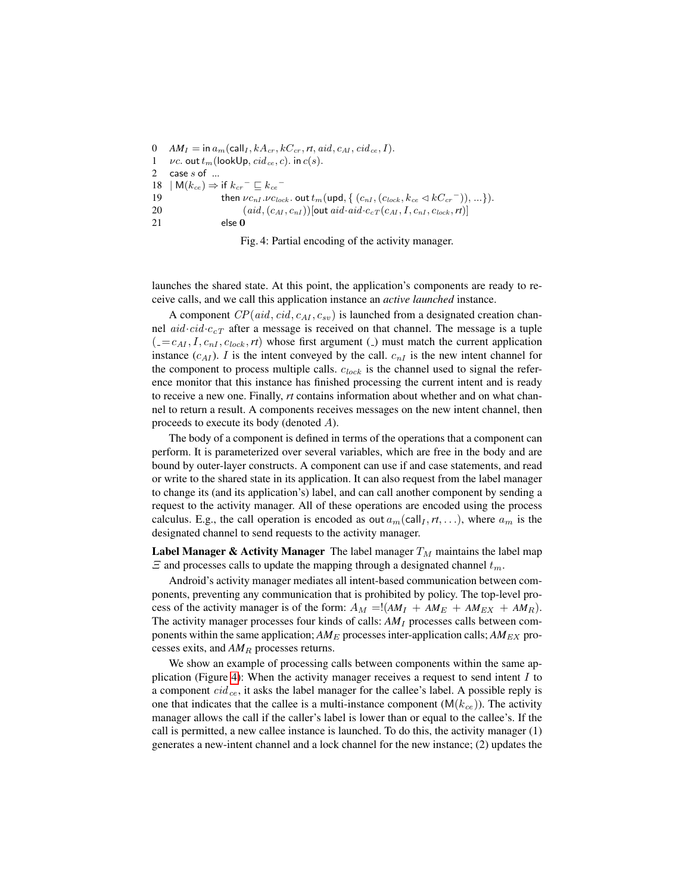<span id="page-11-0"></span>0  $AM_I = \text{in } a_m(\text{call}_I, kA_{cr}, kC_{cr}, rt, aid, c_{AI}, cid_{ce}, I).$ 1 *vc.* out  $t_m$  (lookUp,  $cid_{ce}$ , *c*). in *c*(*s*). 2 case  $s$  of  $\ldots$ 18 | M $(k_{ce}) \Rightarrow$  if  $k_{cr}^- \sqsubseteq k_{ce}^-$ 19 then  $\nu c_{nI} \cdot \nu c_{lock}$  out  $t_m(\text{upd}, \{ (c_{nI}, (c_{lock}, k_{ce} \lhd kC_{cr}^{-})), ... \}).$ 20  $(ai d, (c_{AI}, c_{nI}))$ [out  $aid \cdot ca d \cdot c_{cT}(c_{AI}, I, c_{nI}, c_{lock}, rt)$ ] 21 else 0

Fig. 4: Partial encoding of the activity manager.

launches the shared state. At this point, the application's components are ready to receive calls, and we call this application instance an *active launched* instance.

A component  $CP(aid, cid, c_{AI}, c_{sv})$  is launched from a designated creation channel  $aid \cdot c id \cdot c_cT$  after a message is received on that channel. The message is a tuple  $($ <sub>-</sub> $=c_{AI}$ ,  $I$ ,  $c_{nl}$ ,  $c_{lock}$ ,  $rt$ ) whose first argument ( $\Box$ ) must match the current application instance  $(c_{AI})$ . I is the intent conveyed by the call.  $c_{nI}$  is the new intent channel for the component to process multiple calls.  $c_{lock}$  is the channel used to signal the reference monitor that this instance has finished processing the current intent and is ready to receive a new one. Finally, *rt* contains information about whether and on what channel to return a result. A components receives messages on the new intent channel, then proceeds to execute its body (denoted A).

The body of a component is defined in terms of the operations that a component can perform. It is parameterized over several variables, which are free in the body and are bound by outer-layer constructs. A component can use if and case statements, and read or write to the shared state in its application. It can also request from the label manager to change its (and its application's) label, and can call another component by sending a request to the activity manager. All of these operations are encoded using the process calculus. E.g., the call operation is encoded as out  $a_m$  (call<sub>I</sub>,  $rt$ , ...), where  $a_m$  is the designated channel to send requests to the activity manager.

Label Manager & Activity Manager The label manager  $T_M$  maintains the label map  $\Xi$  and processes calls to update the mapping through a designated channel  $t_m$ .

Android's activity manager mediates all intent-based communication between components, preventing any communication that is prohibited by policy. The top-level process of the activity manager is of the form:  $A_M = \frac{1}{AM_I} + AM_E + AM_{EX} + AM_R$ . The activity manager processes four kinds of calls:  $AM_I$  processes calls between components within the same application;  $AM_E$  processes inter-application calls;  $AM_{EX}$  processes exits, and  $AM_R$  processes returns.

We show an example of processing calls between components within the same ap-plication (Figure [4\)](#page-11-0): When the activity manager receives a request to send intent  $I$  to a component  $cid_{ce}$ , it asks the label manager for the callee's label. A possible reply is one that indicates that the callee is a multi-instance component  $(M(k_{ce}))$ . The activity manager allows the call if the caller's label is lower than or equal to the callee's. If the call is permitted, a new callee instance is launched. To do this, the activity manager (1) generates a new-intent channel and a lock channel for the new instance; (2) updates the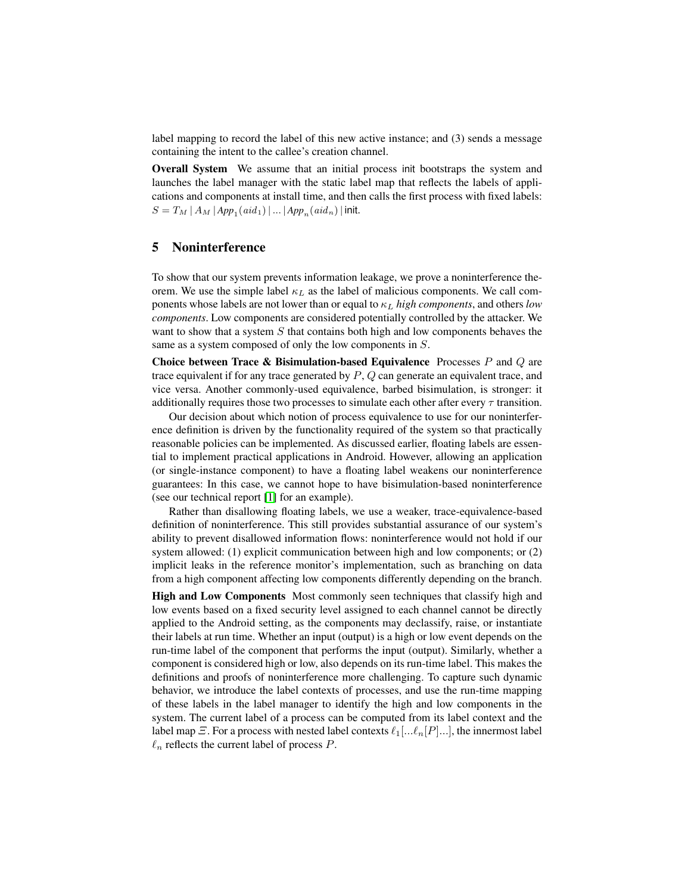label mapping to record the label of this new active instance; and (3) sends a message containing the intent to the callee's creation channel.

Overall System We assume that an initial process init bootstraps the system and launches the label manager with the static label map that reflects the labels of applications and components at install time, and then calls the first process with fixed labels:  $S = T_M | A_M | App_1 (aid_1) | ... | App_n (aid_n) |$  init.

# <span id="page-12-0"></span>5 Noninterference

To show that our system prevents information leakage, we prove a noninterference theorem. We use the simple label  $\kappa_L$  as the label of malicious components. We call components whose labels are not lower than or equal to κ<sup>L</sup> *high components*, and others *low components*. Low components are considered potentially controlled by the attacker. We want to show that a system  $S$  that contains both high and low components behaves the same as a system composed of only the low components in S.

Choice between Trace & Bisimulation-based Equivalence Processes  $P$  and  $Q$  are trace equivalent if for any trace generated by  $P$ ,  $Q$  can generate an equivalent trace, and vice versa. Another commonly-used equivalence, barbed bisimulation, is stronger: it additionally requires those two processes to simulate each other after every  $\tau$  transition.

Our decision about which notion of process equivalence to use for our noninterference definition is driven by the functionality required of the system so that practically reasonable policies can be implemented. As discussed earlier, floating labels are essential to implement practical applications in Android. However, allowing an application (or single-instance component) to have a floating label weakens our noninterference guarantees: In this case, we cannot hope to have bisimulation-based noninterference (see our technical report [\[1\]](#page-16-7) for an example).

Rather than disallowing floating labels, we use a weaker, trace-equivalence-based definition of noninterference. This still provides substantial assurance of our system's ability to prevent disallowed information flows: noninterference would not hold if our system allowed: (1) explicit communication between high and low components; or (2) implicit leaks in the reference monitor's implementation, such as branching on data from a high component affecting low components differently depending on the branch.

High and Low Components Most commonly seen techniques that classify high and low events based on a fixed security level assigned to each channel cannot be directly applied to the Android setting, as the components may declassify, raise, or instantiate their labels at run time. Whether an input (output) is a high or low event depends on the run-time label of the component that performs the input (output). Similarly, whether a component is considered high or low, also depends on its run-time label. This makes the definitions and proofs of noninterference more challenging. To capture such dynamic behavior, we introduce the label contexts of processes, and use the run-time mapping of these labels in the label manager to identify the high and low components in the system. The current label of a process can be computed from its label context and the label map  $\Xi$ . For a process with nested label contexts  $\ell_1[\ldots \ell_n[P] \ldots]$ , the innermost label  $\ell_n$  reflects the current label of process P.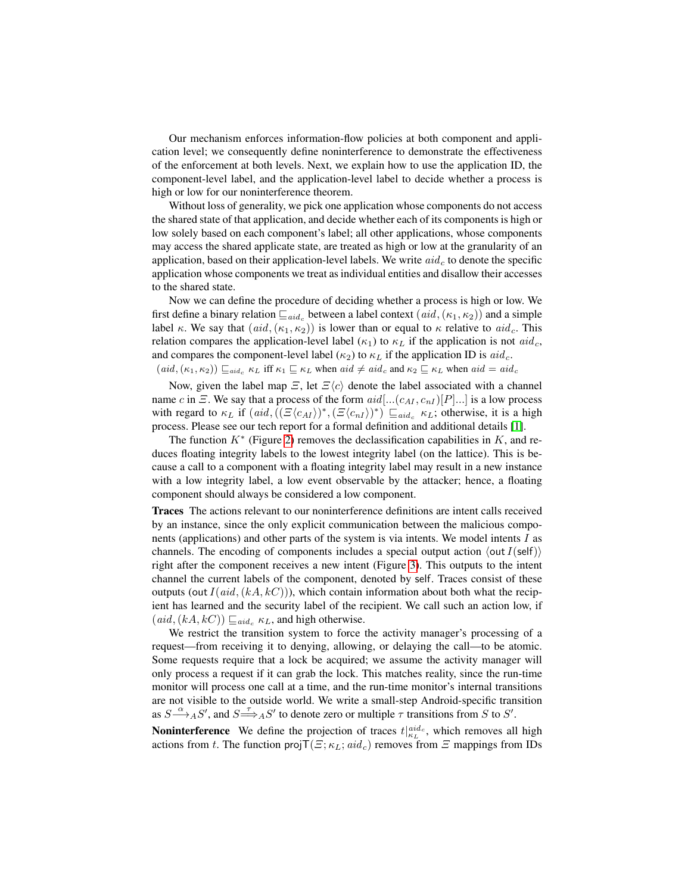Our mechanism enforces information-flow policies at both component and application level; we consequently define noninterference to demonstrate the effectiveness of the enforcement at both levels. Next, we explain how to use the application ID, the component-level label, and the application-level label to decide whether a process is high or low for our noninterference theorem.

Without loss of generality, we pick one application whose components do not access the shared state of that application, and decide whether each of its components is high or low solely based on each component's label; all other applications, whose components may access the shared applicate state, are treated as high or low at the granularity of an application, based on their application-level labels. We write  $aid_c$  to denote the specific application whose components we treat as individual entities and disallow their accesses to the shared state.

Now we can define the procedure of deciding whether a process is high or low. We first define a binary relation  $\sqsubseteq_{aid_c}$  between a label context  $(\mathit{aid},(\kappa_1,\kappa_2))$  and a simple label κ. We say that  $(id, (\kappa_1, \kappa_2))$  is lower than or equal to κ relative to  $aid_c$ . This relation compares the application-level label ( $\kappa_1$ ) to  $\kappa_L$  if the application is not  $aid_c$ , and compares the component-level label ( $\kappa_2$ ) to  $\kappa_L$  if the application ID is  $aid_c$ .  $(id, (\kappa_1, \kappa_2)) \sqsubseteq_{aid_c} \kappa_L$  iff  $\kappa_1 \sqsubseteq \kappa_L$  when  $aid \neq aid_c$  and  $\kappa_2 \sqsubseteq \kappa_L$  when  $aid = aid_c$ 

Now, given the label map  $\Xi$ , let  $\Xi\langle c \rangle$  denote the label associated with a channel name c in  $\Xi$ . We say that a process of the form  $aid[... (c_{AI}, c_{nI})[P]...]$  is a low process with regard to  $\kappa_L$  if  $(aiid, ((\Xi \langle c_{AI} \rangle)^*, (\Xi \langle c_{nI} \rangle)^*) \sqsubseteq_{aid_c} \kappa_L$ ; otherwise, it is a high process. Please see our tech report for a formal definition and additional details [\[1\]](#page-16-7).

The function  $K^*$  (Figure [2\)](#page-9-0) removes the declassification capabilities in  $K$ , and reduces floating integrity labels to the lowest integrity label (on the lattice). This is because a call to a component with a floating integrity label may result in a new instance with a low integrity label, a low event observable by the attacker; hence, a floating component should always be considered a low component.

Traces The actions relevant to our noninterference definitions are intent calls received by an instance, since the only explicit communication between the malicious components (applications) and other parts of the system is via intents. We model intents  $I$  as channels. The encoding of components includes a special output action  $\langle \text{out } I(\text{self}) \rangle$ right after the component receives a new intent (Figure [3\)](#page-10-0). This outputs to the intent channel the current labels of the component, denoted by self. Traces consist of these outputs (out  $I(\text{aid}, (kA, kC))$ ), which contain information about both what the recipient has learned and the security label of the recipient. We call such an action low, if  $(ai, (kA, kC)) \sqsubseteq_{aid_c} \kappa_L$ , and high otherwise.

We restrict the transition system to force the activity manager's processing of a request—from receiving it to denying, allowing, or delaying the call—to be atomic. Some requests require that a lock be acquired; we assume the activity manager will only process a request if it can grab the lock. This matches reality, since the run-time monitor will process one call at a time, and the run-time monitor's internal transitions are not visible to the outside world. We write a small-step Android-specific transition as  $S \xrightarrow{\alpha} {}_A S'$ , and  $S \xrightarrow{\tau} {}_A S'$  to denote zero or multiple  $\tau$  transitions from S to S'.

**Noninterference** We define the projection of traces  $t|_{\kappa_L}^{aid_c}$ , which removes all high actions from t. The function proj $\mathsf{T}(\Xi;\kappa_L; \mathit{aid}_c)$  removes from  $\Xi$  mappings from IDs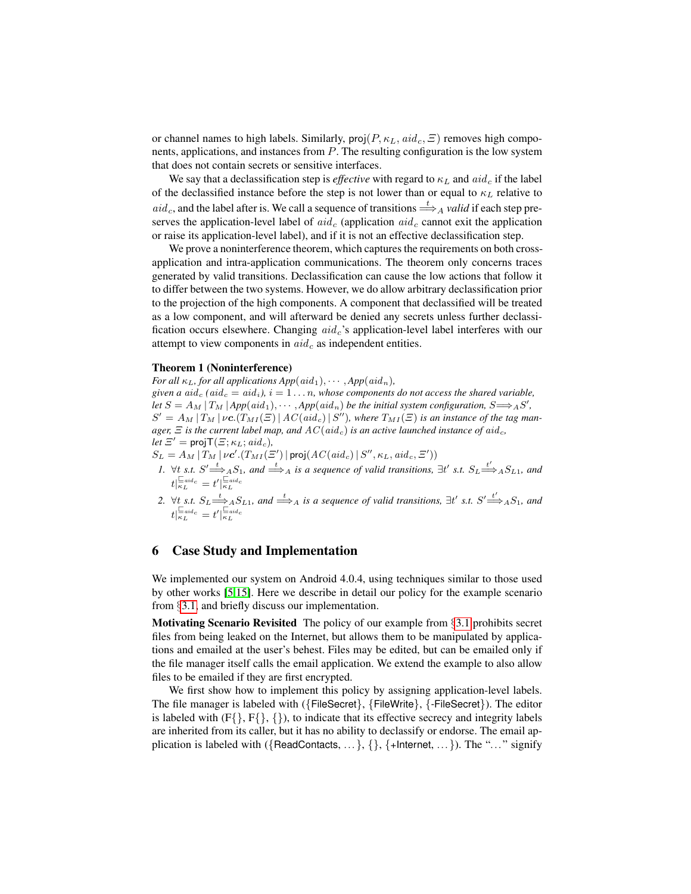or channel names to high labels. Similarly,  $proj(P, \kappa_L, aid_c, \Xi)$  removes high components, applications, and instances from  $P$ . The resulting configuration is the low system that does not contain secrets or sensitive interfaces.

We say that a declassification step is *effective* with regard to  $\kappa_L$  and  $aid_c$  if the label of the declassified instance before the step is not lower than or equal to  $\kappa_L$  relative to  $aid_c$ , and the label after is. We call a sequence of transitions  $\stackrel{t}{\Longrightarrow}_A$  *valid* if each step preserves the application-level label of  $aid_c$  (application  $aid_c$  cannot exit the application or raise its application-level label), and if it is not an effective declassification step.

We prove a noninterference theorem, which captures the requirements on both crossapplication and intra-application communications. The theorem only concerns traces generated by valid transitions. Declassification can cause the low actions that follow it to differ between the two systems. However, we do allow arbitrary declassification prior to the projection of the high components. A component that declassified will be treated as a low component, and will afterward be denied any secrets unless further declassification occurs elsewhere. Changing  $aid<sub>c</sub>$ 's application-level label interferes with our attempt to view components in  $aid_c$  as independent entities.

#### Theorem 1 (Noninterference)

*For all*  $\kappa_L$ *, for all applications App*( $aid_1$ ),  $\cdots$ , *App*( $aid_n$ )*,* 

*given a*  $aid_c$  ( $aid_c = aid_i$ ),  $i = 1 \ldots n$ , whose components do not access the shared variable, *let*  $S = A_M | T_M | App(ai d_1), \cdots, App(ai d_n)$  *be the initial system configuration,*  $S \Longrightarrow_A S'$ ,  $S' = A_M |T_M | \nu c. (T_{MI}(\Xi) | A C (aid_c) | S'')$ , where  $T_{MI}(\Xi)$  is an instance of the tag man*ager,*  $\Xi$  *is the current label map, and*  $AC(\text{aid}_c)$  *is an active launched instance of aid<sub>c</sub>,*  $let \ \Xi' = \text{proj}\mathsf{T}(\Xi; \kappa_L; \textit{aid}_c),$ 

 $S_L = A_M | T_M | \nu c'. (T_{MI}(\Xi') | \text{proj}(AC(aid_c) | S'', \kappa_L, aid_c, \Xi'))$ 

- *1.*  $\forall t$  *s.t.*  $S' \stackrel{t}{\Longrightarrow} _A S_1$ *, and*  $\stackrel{t}{\Longrightarrow} _A A$  *is a sequence of valid transitions,*  $\exists t'$  *s.t.*  $S_L \stackrel{t'}{\Longrightarrow} _A S_{L1}$ *, and*  $t|_{\kappa_L}^{\sqsubseteq_{aid_c}} = t'|_{\kappa_L}^{\sqsubseteq_{aid_c}}$
- $2. \ \forall t \ s.t. \ S_L \stackrel{t}{\Longrightarrow}_A S_{L1}$ *, and*  $\stackrel{t}{\Longrightarrow}_A$  *is a sequence of valid transitions,*  $\exists t' \ s.t. \ S' \stackrel{t'}{\Longrightarrow}_A S_1$ *, and*  $t|_{\kappa_L}^{\sqsubseteq_{aid_c}} = t'|_{\kappa_L}^{\sqsubseteq_{aid_c}}$

### <span id="page-14-0"></span>6 Case Study and Implementation

We implemented our system on Android 4.0.4, using techniques similar to those used by other works [\[5,](#page-16-5)[15\]](#page-17-21). Here we describe in detail our policy for the example scenario from §[3.1,](#page-4-1) and briefly discuss our implementation.

Motivating Scenario Revisited The policy of our example from §[3.1](#page-4-1) prohibits secret files from being leaked on the Internet, but allows them to be manipulated by applications and emailed at the user's behest. Files may be edited, but can be emailed only if the file manager itself calls the email application. We extend the example to also allow files to be emailed if they are first encrypted.

We first show how to implement this policy by assigning application-level labels. The file manager is labeled with ({FileSecret}, {FileWrite}, {-FileSecret}). The editor is labeled with  $(F\{\}, F\{\}, \{\})$ , to indicate that its effective secrecy and integrity labels are inherited from its caller, but it has no ability to declassify or endorse. The email application is labeled with ( $\{ReadContents, ...\}$ ,  $\{ \}$ ,  $\{ \}$ ,  $\{ \}$  +Internet, ...  $\}$ ). The "..." signify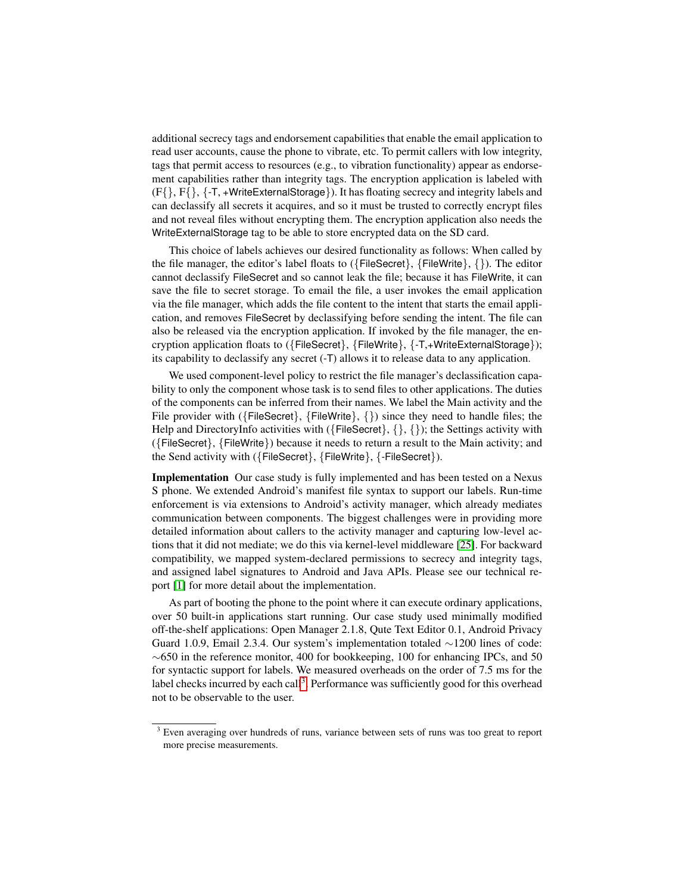additional secrecy tags and endorsement capabilities that enable the email application to read user accounts, cause the phone to vibrate, etc. To permit callers with low integrity, tags that permit access to resources (e.g., to vibration functionality) appear as endorsement capabilities rather than integrity tags. The encryption application is labeled with (F{}, F{}, {-T, +WriteExternalStorage}). It has floating secrecy and integrity labels and can declassify all secrets it acquires, and so it must be trusted to correctly encrypt files and not reveal files without encrypting them. The encryption application also needs the WriteExternalStorage tag to be able to store encrypted data on the SD card.

This choice of labels achieves our desired functionality as follows: When called by the file manager, the editor's label floats to ({FileSecret}, {FileWrite}, {}). The editor cannot declassify FileSecret and so cannot leak the file; because it has FileWrite, it can save the file to secret storage. To email the file, a user invokes the email application via the file manager, which adds the file content to the intent that starts the email application, and removes FileSecret by declassifying before sending the intent. The file can also be released via the encryption application. If invoked by the file manager, the encryption application floats to ({FileSecret}, {FileWrite}, {-T,+WriteExternalStorage}); its capability to declassify any secret (-T) allows it to release data to any application.

We used component-level policy to restrict the file manager's declassification capability to only the component whose task is to send files to other applications. The duties of the components can be inferred from their names. We label the Main activity and the File provider with ({FileSecret}, {FileWrite}, {}) since they need to handle files; the Help and DirectoryInfo activities with ( $\{FileSecret\}, \{\}, \{\})$ ; the Settings activity with ({FileSecret}, {FileWrite}) because it needs to return a result to the Main activity; and the Send activity with ({FileSecret}, {FileWrite}, {-FileSecret}).

Implementation Our case study is fully implemented and has been tested on a Nexus S phone. We extended Android's manifest file syntax to support our labels. Run-time enforcement is via extensions to Android's activity manager, which already mediates communication between components. The biggest challenges were in providing more detailed information about callers to the activity manager and capturing low-level actions that it did not mediate; we do this via kernel-level middleware [\[25\]](#page-17-23). For backward compatibility, we mapped system-declared permissions to secrecy and integrity tags, and assigned label signatures to Android and Java APIs. Please see our technical report [\[1\]](#page-16-7) for more detail about the implementation.

As part of booting the phone to the point where it can execute ordinary applications, over 50 built-in applications start running. Our case study used minimally modified off-the-shelf applications: Open Manager 2.1.8, Qute Text Editor 0.1, Android Privacy Guard 1.0.9, Email 2.3.4. Our system's implementation totaled ∼1200 lines of code: ∼650 in the reference monitor, 400 for bookkeeping, 100 for enhancing IPCs, and 50 for syntactic support for labels. We measured overheads on the order of 7.5 ms for the label checks incurred by each call<sup>[3](#page-15-0)</sup>. Performance was sufficiently good for this overhead not to be observable to the user.

<span id="page-15-0"></span><sup>&</sup>lt;sup>3</sup> Even averaging over hundreds of runs, variance between sets of runs was too great to report more precise measurements.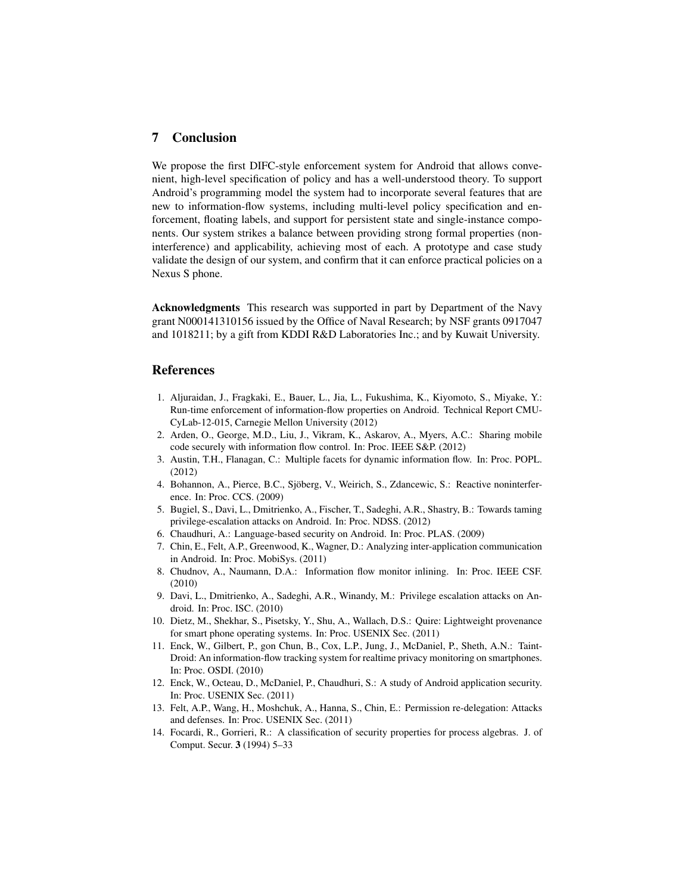# 7 Conclusion

We propose the first DIFC-style enforcement system for Android that allows convenient, high-level specification of policy and has a well-understood theory. To support Android's programming model the system had to incorporate several features that are new to information-flow systems, including multi-level policy specification and enforcement, floating labels, and support for persistent state and single-instance components. Our system strikes a balance between providing strong formal properties (noninterference) and applicability, achieving most of each. A prototype and case study validate the design of our system, and confirm that it can enforce practical policies on a Nexus S phone.

Acknowledgments This research was supported in part by Department of the Navy grant N000141310156 issued by the Office of Naval Research; by NSF grants 0917047 and 1018211; by a gift from KDDI R&D Laboratories Inc.; and by Kuwait University.

# References

- <span id="page-16-7"></span>1. Aljuraidan, J., Fragkaki, E., Bauer, L., Jia, L., Fukushima, K., Kiyomoto, S., Miyake, Y.: Run-time enforcement of information-flow properties on Android. Technical Report CMU-CyLab-12-015, Carnegie Mellon University (2012)
- <span id="page-16-9"></span>2. Arden, O., George, M.D., Liu, J., Vikram, K., Askarov, A., Myers, A.C.: Sharing mobile code securely with information flow control. In: Proc. IEEE S&P. (2012)
- <span id="page-16-10"></span>3. Austin, T.H., Flanagan, C.: Multiple facets for dynamic information flow. In: Proc. POPL. (2012)
- <span id="page-16-12"></span>4. Bohannon, A., Pierce, B.C., Sjöberg, V., Weirich, S., Zdancewic, S.: Reactive noninterference. In: Proc. CCS. (2009)
- <span id="page-16-5"></span>5. Bugiel, S., Davi, L., Dmitrienko, A., Fischer, T., Sadeghi, A.R., Shastry, B.: Towards taming privilege-escalation attacks on Android. In: Proc. NDSS. (2012)
- <span id="page-16-13"></span>6. Chaudhuri, A.: Language-based security on Android. In: Proc. PLAS. (2009)
- <span id="page-16-4"></span>7. Chin, E., Felt, A.P., Greenwood, K., Wagner, D.: Analyzing inter-application communication in Android. In: Proc. MobiSys. (2011)
- <span id="page-16-8"></span>8. Chudnov, A., Naumann, D.A.: Information flow monitor inlining. In: Proc. IEEE CSF. (2010)
- <span id="page-16-1"></span>9. Davi, L., Dmitrienko, A., Sadeghi, A.R., Winandy, M.: Privilege escalation attacks on Android. In: Proc. ISC. (2010)
- <span id="page-16-6"></span>10. Dietz, M., Shekhar, S., Pisetsky, Y., Shu, A., Wallach, D.S.: Quire: Lightweight provenance for smart phone operating systems. In: Proc. USENIX Sec. (2011)
- <span id="page-16-3"></span>11. Enck, W., Gilbert, P., gon Chun, B., Cox, L.P., Jung, J., McDaniel, P., Sheth, A.N.: Taint-Droid: An information-flow tracking system for realtime privacy monitoring on smartphones. In: Proc. OSDI. (2010)
- <span id="page-16-0"></span>12. Enck, W., Octeau, D., McDaniel, P., Chaudhuri, S.: A study of Android application security. In: Proc. USENIX Sec. (2011)
- <span id="page-16-2"></span>13. Felt, A.P., Wang, H., Moshchuk, A., Hanna, S., Chin, E.: Permission re-delegation: Attacks and defenses. In: Proc. USENIX Sec. (2011)
- <span id="page-16-11"></span>14. Focardi, R., Gorrieri, R.: A classification of security properties for process algebras. J. of Comput. Secur. 3 (1994) 5–33